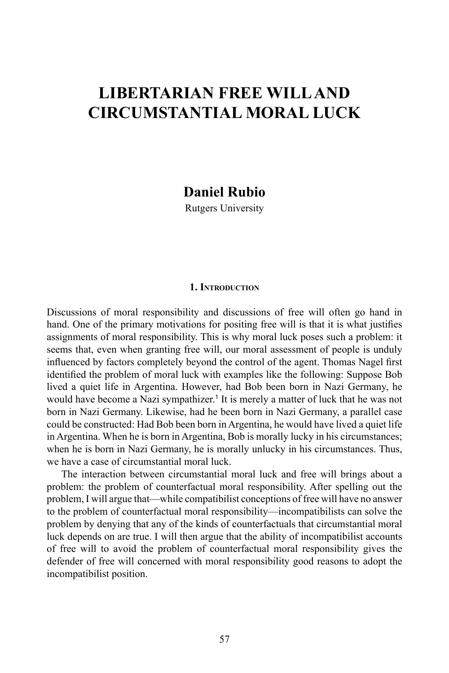# **Libertarian Free Willand Circumstantial Moral Luck**

**Daniel Rubio**

Rutgers University

### **1. Introduction**

Discussions of moral responsibility and discussions of free will often go hand in hand. One of the primary motivations for positing free will is that it is what justifies assignments of moral responsibility. This is why moral luck poses such a problem: it seems that, even when granting free will, our moral assessment of people is unduly influenced by factors completely beyond the control of the agent. Thomas Nagel first identified the problem of moral luck with examples like the following: Suppose Bob lived a quiet life in Argentina. However, had Bob been born in Nazi Germany, he would have become a Nazi sympathizer.<sup>1</sup> It is merely a matter of luck that he was not born in Nazi Germany. Likewise, had he been born in Nazi Germany, a parallel case could be constructed: Had Bob been born in Argentina, he would have lived a quiet life in Argentina. When he is born in Argentina, Bob is morally lucky in his circumstances; when he is born in Nazi Germany, he is morally unlucky in his circumstances. Thus, we have a case of circumstantial moral luck.

The interaction between circumstantial moral luck and free will brings about a problem: the problem of counterfactual moral responsibility. After spelling out the problem, I will argue that—while compatibilist conceptions of free will have no answer to the problem of counterfactual moral responsibility—incompatibilists can solve the problem by denying that any of the kinds of counterfactuals that circumstantial moral luck depends on are true. I will then argue that the ability of incompatibilist accounts of free will to avoid the problem of counterfactual moral responsibility gives the defender of free will concerned with moral responsibility good reasons to adopt the incompatibilist position.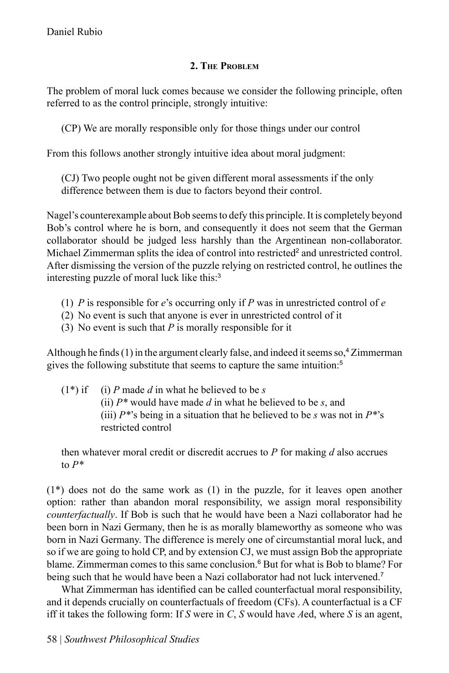# **2. The Problem**

The problem of moral luck comes because we consider the following principle, often referred to as the control principle, strongly intuitive:

(CP) We are morally responsible only for those things under our control

From this follows another strongly intuitive idea about moral judgment:

(CJ) Two people ought not be given different moral assessments if the only difference between them is due to factors beyond their control.

Nagel's counterexample about Bob seems to defy this principle. It is completely beyond Bob's control where he is born, and consequently it does not seem that the German collaborator should be judged less harshly than the Argentinean non-collaborator. Michael Zimmerman splits the idea of control into restricted<sup>2</sup> and unrestricted control. After dismissing the version of the puzzle relying on restricted control, he outlines the interesting puzzle of moral luck like this:<sup>3</sup>

- (1) *P* is responsible for *e*'s occurring only if *P* was in unrestricted control of *e*
- (2) No event is such that anyone is ever in unrestricted control of it
- (3) No event is such that *P* is morally responsible for it

Although he finds  $(1)$  in the argument clearly false, and indeed it seems so,<sup>4</sup> Zimmerman gives the following substitute that seems to capture the same intuition:<sup>5</sup>

 $(1^*)$  if (i) *P* made *d* in what he believed to be *s* (ii) *P\** would have made *d* in what he believed to be *s*, and (iii)  $P^{*}$ 's being in a situation that he believed to be *s* was not in  $P^{*}$ 's restricted control

then whatever moral credit or discredit accrues to *P* for making *d* also accrues to *P\**

(1\*) does not do the same work as (1) in the puzzle, for it leaves open another option: rather than abandon moral responsibility, we assign moral responsibility *counterfactually*. If Bob is such that he would have been a Nazi collaborator had he been born in Nazi Germany, then he is as morally blameworthy as someone who was born in Nazi Germany. The difference is merely one of circumstantial moral luck, and so if we are going to hold CP, and by extension CJ, we must assign Bob the appropriate blame. Zimmerman comes to this same conclusion.<sup>6</sup> But for what is Bob to blame? For being such that he would have been a Nazi collaborator had not luck intervened.<sup>7</sup>

What Zimmerman has identified can be called counterfactual moral responsibility, and it depends crucially on counterfactuals of freedom (CFs). A counterfactual is a CF iff it takes the following form: If *S* were in *C*, *S* would have *A*ed, where *S* is an agent,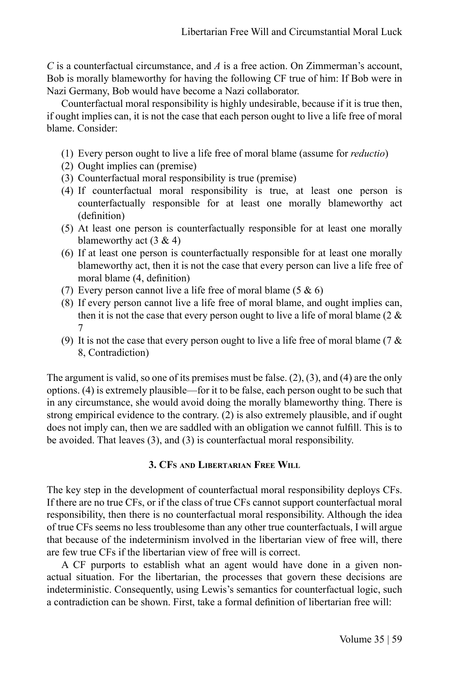*C* is a counterfactual circumstance, and *A* is a free action. On Zimmerman's account, Bob is morally blameworthy for having the following CF true of him: If Bob were in Nazi Germany, Bob would have become a Nazi collaborator.

Counterfactual moral responsibility is highly undesirable, because if it is true then, if ought implies can, it is not the case that each person ought to live a life free of moral blame. Consider:

- (1) Every person ought to live a life free of moral blame (assume for *reductio*)
- (2) Ought implies can (premise)
- (3) Counterfactual moral responsibility is true (premise)
- (4) If counterfactual moral responsibility is true, at least one person is counterfactually responsible for at least one morally blameworthy act (definition)
- (5) At least one person is counterfactually responsible for at least one morally blameworthy act  $(3 \& 4)$
- (6) If at least one person is counterfactually responsible for at least one morally blameworthy act, then it is not the case that every person can live a life free of moral blame (4, definition)
- (7) Every person cannot live a life free of moral blame  $(5 \& 6)$
- (8) If every person cannot live a life free of moral blame, and ought implies can, then it is not the case that every person ought to live a life of moral blame (2  $\&$ 7
- (9) It is not the case that every person ought to live a life free of moral blame (7  $\&$ 8, Contradiction)

The argument is valid, so one of its premises must be false. (2), (3), and (4) are the only options. (4) is extremely plausible—for it to be false, each person ought to be such that in any circumstance, she would avoid doing the morally blameworthy thing. There is strong empirical evidence to the contrary. (2) is also extremely plausible, and if ought does not imply can, then we are saddled with an obligation we cannot fulfill. This is to be avoided. That leaves (3), and (3) is counterfactual moral responsibility.

## **3. CFs and Libertarian Free Will**

The key step in the development of counterfactual moral responsibility deploys CFs. If there are no true CFs, or if the class of true CFs cannot support counterfactual moral responsibility, then there is no counterfactual moral responsibility. Although the idea of true CFs seems no less troublesome than any other true counterfactuals, I will argue that because of the indeterminism involved in the libertarian view of free will, there are few true CFs if the libertarian view of free will is correct.

A CF purports to establish what an agent would have done in a given nonactual situation. For the libertarian, the processes that govern these decisions are indeterministic. Consequently, using Lewis's semantics for counterfactual logic, such a contradiction can be shown. First, take a formal definition of libertarian free will: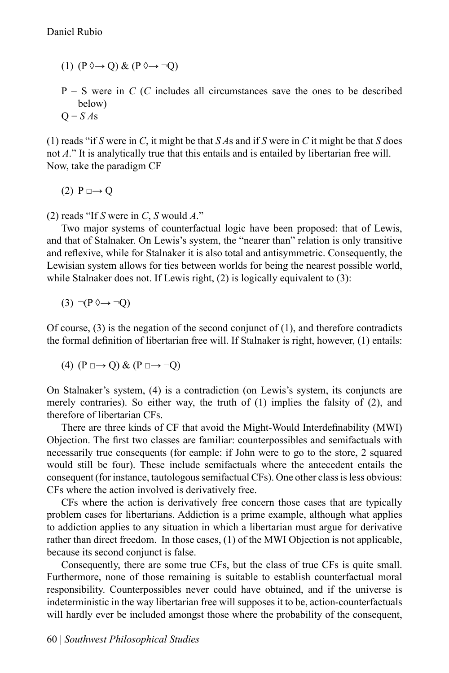- (1)  $(P \Diamond \rightarrow Q) \& (P \Diamond \rightarrow \neg Q)$
- $P = S$  were in *C* (*C* includes all circumstances save the ones to be described below)  $Q = S \, A$ s

(1) reads "if *S* were in *C*, it might be that *S A*s and if *S* were in *C* it might be that *S* does not *A*." It is analytically true that this entails and is entailed by libertarian free will. Now, take the paradigm CF

 $(2)$  P  $\Box \rightarrow Q$ 

(2) reads "If *S* were in *C*, *S* would *A*."

Two major systems of counterfactual logic have been proposed: that of Lewis, and that of Stalnaker. On Lewis's system, the "nearer than" relation is only transitive and reflexive, while for Stalnaker it is also total and antisymmetric. Consequently, the Lewisian system allows for ties between worlds for being the nearest possible world, while Stalnaker does not. If Lewis right, (2) is logically equivalent to (3):

$$
(3) \neg (P \Diamond \rightarrow \neg Q)
$$

Of course,  $(3)$  is the negation of the second conjunct of  $(1)$ , and therefore contradicts the formal definition of libertarian free will. If Stalnaker is right, however, (1) entails:

(4) 
$$
(P \square \rightarrow Q) \& (P \square \rightarrow \neg Q)
$$

On Stalnaker's system, (4) is a contradiction (on Lewis's system, its conjuncts are merely contraries). So either way, the truth of (1) implies the falsity of (2), and therefore of libertarian CFs.

There are three kinds of CF that avoid the Might-Would Interdefinability (MWI) Objection. The first two classes are familiar: counterpossibles and semifactuals with necessarily true consequents (for eample: if John were to go to the store, 2 squared would still be four). These include semifactuals where the antecedent entails the consequent (for instance, tautologous semifactual CFs). One other class is less obvious: CFs where the action involved is derivatively free.

CFs where the action is derivatively free concern those cases that are typically problem cases for libertarians. Addiction is a prime example, although what applies to addiction applies to any situation in which a libertarian must argue for derivative rather than direct freedom. In those cases, (1) of the MWI Objection is not applicable, because its second conjunct is false.

Consequently, there are some true CFs, but the class of true CFs is quite small. Furthermore, none of those remaining is suitable to establish counterfactual moral responsibility. Counterpossibles never could have obtained, and if the universe is indeterministic in the way libertarian free will supposes it to be, action-counterfactuals will hardly ever be included amongst those where the probability of the consequent,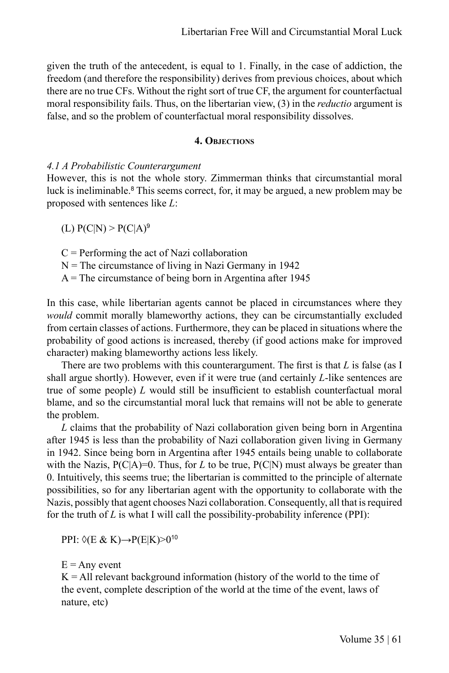given the truth of the antecedent, is equal to 1. Finally, in the case of addiction, the freedom (and therefore the responsibility) derives from previous choices, about which there are no true CFs. Without the right sort of true CF, the argument for counterfactual moral responsibility fails. Thus, on the libertarian view, (3) in the *reductio* argument is false, and so the problem of counterfactual moral responsibility dissolves.

## **4. Objections**

### *4.1 A Probabilistic Counterargument*

However, this is not the whole story. Zimmerman thinks that circumstantial moral luck is ineliminable.<sup>8</sup> This seems correct, for, it may be argued, a new problem may be proposed with sentences like *L*:

(L)  $P(C|N) > P(C|A)^9$ 

 $C =$  Performing the act of Nazi collaboration  $N =$ The circumstance of living in Nazi Germany in 1942  $A =$ The circumstance of being born in Argentina after 1945

In this case, while libertarian agents cannot be placed in circumstances where they *would* commit morally blameworthy actions, they can be circumstantially excluded from certain classes of actions. Furthermore, they can be placed in situations where the probability of good actions is increased, thereby (if good actions make for improved character) making blameworthy actions less likely.

There are two problems with this counterargument. The first is that *L* is false (as I shall argue shortly). However, even if it were true (and certainly *L*-like sentences are true of some people) *L* would still be insufficient to establish counterfactual moral blame, and so the circumstantial moral luck that remains will not be able to generate the problem.

*L* claims that the probability of Nazi collaboration given being born in Argentina after 1945 is less than the probability of Nazi collaboration given living in Germany in 1942. Since being born in Argentina after 1945 entails being unable to collaborate with the Nazis,  $P(C|A)=0$ . Thus, for *L* to be true,  $P(C|N)$  must always be greater than 0. Intuitively, this seems true; the libertarian is committed to the principle of alternate possibilities, so for any libertarian agent with the opportunity to collaborate with the Nazis, possibly that agent chooses Nazi collaboration. Consequently, all that is required for the truth of *L* is what I will call the possibility-probability inference (PPI):

PPI: ◊(E & K)→P(E|K)>0<sup>10</sup>

 $E =$  Any event

 $K = All relevant background information (history of the world to the time of$ the event, complete description of the world at the time of the event, laws of nature, etc)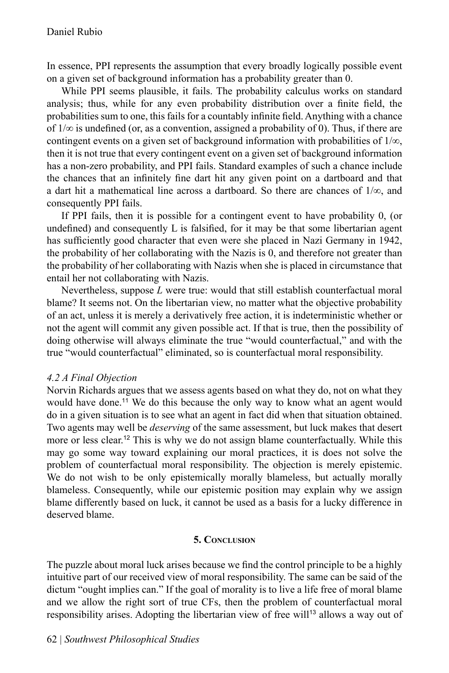In essence, PPI represents the assumption that every broadly logically possible event on a given set of background information has a probability greater than 0.

While PPI seems plausible, it fails. The probability calculus works on standard analysis; thus, while for any even probability distribution over a finite field, the probabilities sum to one, this fails for a countably infinite field. Anything with a chance of  $1/\infty$  is undefined (or, as a convention, assigned a probability of 0). Thus, if there are contingent events on a given set of background information with probabilities of  $1/\infty$ , then it is not true that every contingent event on a given set of background information has a non-zero probability, and PPI fails. Standard examples of such a chance include the chances that an infinitely fine dart hit any given point on a dartboard and that a dart hit a mathematical line across a dartboard. So there are chances of  $1/\infty$ , and consequently PPI fails.

If PPI fails, then it is possible for a contingent event to have probability 0, (or undefined) and consequently L is falsified, for it may be that some libertarian agent has sufficiently good character that even were she placed in Nazi Germany in 1942, the probability of her collaborating with the Nazis is 0, and therefore not greater than the probability of her collaborating with Nazis when she is placed in circumstance that entail her not collaborating with Nazis.

Nevertheless, suppose *L* were true: would that still establish counterfactual moral blame? It seems not. On the libertarian view, no matter what the objective probability of an act, unless it is merely a derivatively free action, it is indeterministic whether or not the agent will commit any given possible act. If that is true, then the possibility of doing otherwise will always eliminate the true "would counterfactual," and with the true "would counterfactual" eliminated, so is counterfactual moral responsibility.

## *4.2 A Final Objection*

Norvin Richards argues that we assess agents based on what they do, not on what they would have done.<sup>11</sup> We do this because the only way to know what an agent would do in a given situation is to see what an agent in fact did when that situation obtained. Two agents may well be *deserving* of the same assessment, but luck makes that desert more or less clear.<sup>12</sup> This is why we do not assign blame counterfactually. While this may go some way toward explaining our moral practices, it is does not solve the problem of counterfactual moral responsibility. The objection is merely epistemic. We do not wish to be only epistemically morally blameless, but actually morally blameless. Consequently, while our epistemic position may explain why we assign blame differently based on luck, it cannot be used as a basis for a lucky difference in deserved blame.

## **5. Conclusion**

The puzzle about moral luck arises because we find the control principle to be a highly intuitive part of our received view of moral responsibility. The same can be said of the dictum "ought implies can." If the goal of morality is to live a life free of moral blame and we allow the right sort of true CFs, then the problem of counterfactual moral responsibility arises. Adopting the libertarian view of free will<sup>13</sup> allows a way out of